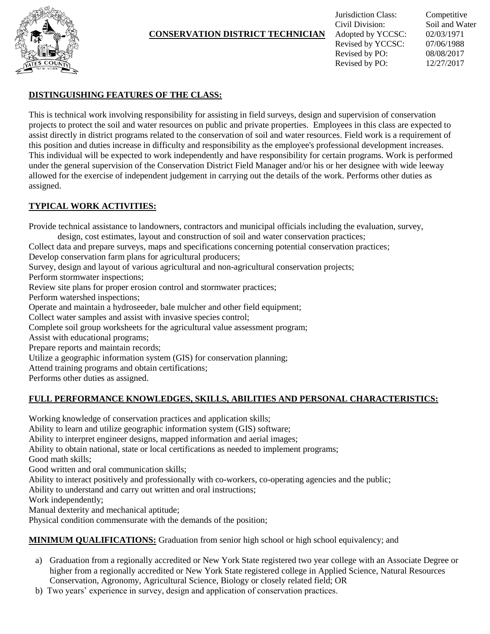

#### **CONSERVATION DISTRICT TECHNICIAN**

## **DISTINGUISHING FEATURES OF THE CLASS:**

This is technical work involving responsibility for assisting in field surveys, design and supervision of conservation projects to protect the soil and water resources on public and private properties. Employees in this class are expected to assist directly in district programs related to the conservation of soil and water resources. Field work is a requirement of this position and duties increase in difficulty and responsibility as the employee's professional development increases. This individual will be expected to work independently and have responsibility for certain programs. Work is performed under the general supervision of the Conservation District Field Manager and/or his or her designee with wide leeway allowed for the exercise of independent judgement in carrying out the details of the work. Performs other duties as assigned.

### **TYPICAL WORK ACTIVITIES:**

Provide technical assistance to landowners, contractors and municipal officials including the evaluation, survey,

design, cost estimates, layout and construction of soil and water conservation practices;

Collect data and prepare surveys, maps and specifications concerning potential conservation practices;

Develop conservation farm plans for agricultural producers;

Survey, design and layout of various agricultural and non-agricultural conservation projects;

Perform stormwater inspections;

Review site plans for proper erosion control and stormwater practices;

Perform watershed inspections;

Operate and maintain a hydroseeder, bale mulcher and other field equipment;

Collect water samples and assist with invasive species control;

Complete soil group worksheets for the agricultural value assessment program;

Assist with educational programs;

Prepare reports and maintain records;

Utilize a geographic information system (GIS) for conservation planning;

Attend training programs and obtain certifications;

Performs other duties as assigned.

### **FULL PERFORMANCE KNOWLEDGES, SKILLS, ABILITIES AND PERSONAL CHARACTERISTICS:**

Working knowledge of conservation practices and application skills;

Ability to learn and utilize geographic information system (GIS) software;

Ability to interpret engineer designs, mapped information and aerial images;

Ability to obtain national, state or local certifications as needed to implement programs;

Good math skills;

Good written and oral communication skills;

Ability to interact positively and professionally with co-workers, co-operating agencies and the public;

Ability to understand and carry out written and oral instructions;

Work independently;

Manual dexterity and mechanical aptitude;

Physical condition commensurate with the demands of the position;

**MINIMUM QUALIFICATIONS:** Graduation from senior high school or high school equivalency; and

- a) Graduation from a regionally accredited or New York State registered two year college with an Associate Degree or higher from a regionally accredited or New York State registered college in Applied Science, Natural Resources Conservation, Agronomy, Agricultural Science, Biology or closely related field; OR
- b) Two years' experience in survey, design and application of conservation practices.